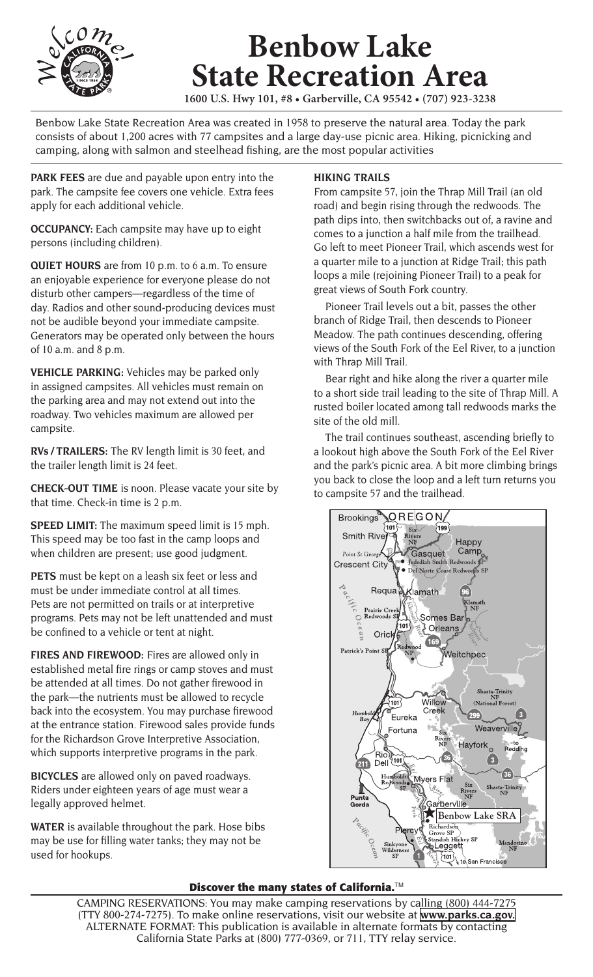

## **Benbow Lake State Recreation Area**

**1600 U.S. Hwy 101, #8 • Garberville, CA 95542 • (707) 923-3238**

Benbow Lake State Recreation Area was created in 1958 to preserve the natural area. Today the park consists of about 1,200 acres with 77 campsites and a large day-use picnic area. Hiking, picnicking and camping, along with salmon and steelhead fishing, are the most popular activities

**PARK FEES** are due and payable upon entry into the park. The campsite fee covers one vehicle. Extra fees apply for each additional vehicle.

**OCCUPANCY:** Each campsite may have up to eight persons (including children).

**QUIET HOURS** are from 10 p.m. to 6 a.m. To ensure an enjoyable experience for everyone please do not disturb other campers—regardless of the time of day. Radios and other sound-producing devices must not be audible beyond your immediate campsite. Generators may be operated only between the hours of 10 a.m. and 8 p.m.

**VEHICLE PARKING:** Vehicles may be parked only in assigned campsites. All vehicles must remain on the parking area and may not extend out into the roadway. Two vehicles maximum are allowed per campsite.

**RVs / TRAILERS:** The RV length limit is 30 feet, and the trailer length limit is 24 feet.

**CHECK-OUT TIME** is noon. Please vacate your site by that time. Check-in time is 2 p.m.

**SPEED LIMIT:** The maximum speed limit is 15 mph. This speed may be too fast in the camp loops and when children are present; use good judgment.

**PETS** must be kept on a leash six feet or less and must be under immediate control at all times. Pets are not permitted on trails or at interpretive programs. Pets may not be left unattended and must be confined to a vehicle or tent at night.

**FIRES AND FIREWOOD:** Fires are allowed only in established metal fire rings or camp stoves and must be attended at all times. Do not gather firewood in the park—the nutrients must be allowed to recycle back into the ecosystem. You may purchase firewood at the entrance station. Firewood sales provide funds for the Richardson Grove Interpretive Association, which supports interpretive programs in the park.

**BICYCLES** are allowed only on paved roadways. Riders under eighteen years of age must wear a legally approved helmet.

**WATER** is available throughout the park. Hose bibs may be use for filling water tanks; they may not be used for hookups.

## **HIKING TRAILS**

From campsite 57, join the Thrap Mill Trail (an old road) and begin rising through the redwoods. The path dips into, then switchbacks out of, a ravine and comes to a junction a half mile from the trailhead. Go left to meet Pioneer Trail, which ascends west for a quarter mile to a junction at Ridge Trail; this path loops a mile (rejoining Pioneer Trail) to a peak for great views of South Fork country.

 Pioneer Trail levels out a bit, passes the other branch of Ridge Trail, then descends to Pioneer Meadow. The path continues descending, offering views of the South Fork of the Eel River, to a junction with Thrap Mill Trail.

 Bear right and hike along the river a quarter mile to a short side trail leading to the site of Thrap Mill. A rusted boiler located among tall redwoods marks the site of the old mill.

 The trail continues southeast, ascending briefly to a lookout high above the South Fork of the Eel River and the park's picnic area. A bit more climbing brings you back to close the loop and a left turn returns you to campsite 57 and the trailhead.



## **Discover the many states of California.**TM

CAMPING RESERVATIONS: You may make camping reservations by calling (800) 444-7275 (TTY 800-274-7275). To make online reservations, visit our website at **[www.parks.ca.gov.](http://www.parks.ca.gov)** ALTERNATE FORMAT: This publication is available in alternate formats by contacting California State Parks at (800) 777-0369, or 711, TTY relay service.